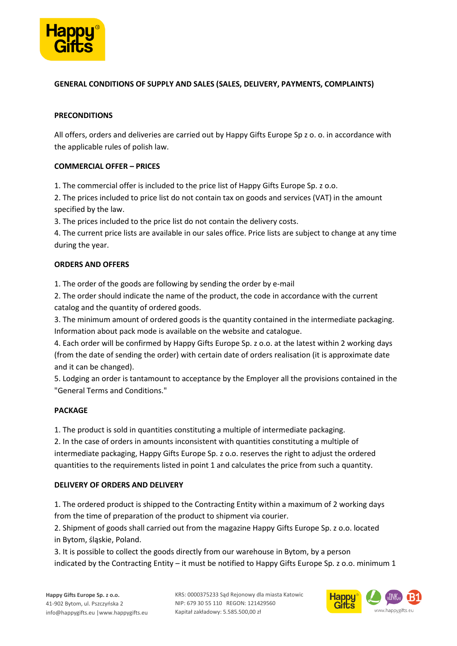

### **GENERAL CONDITIONS OF SUPPLY AND SALES (SALES, DELIVERY, PAYMENTS, COMPLAINTS)**

#### **PRECONDITIONS**

All offers, orders and deliveries are carried out by Happy Gifts Europe Sp z o. o. in accordance with the applicable rules of polish law.

### **COMMERCIAL OFFER – PRICES**

1. The commercial offer is included to the price list of Happy Gifts Europe Sp. z o.o.

2. The prices included to price list do not contain tax on goods and services (VAT) in the amount specified by the law.

3. The prices included to the price list do not contain the delivery costs.

4. The current price lists are available in our sales office. Price lists are subject to change at any time during the year.

### **ORDERS AND OFFERS**

1. The order of the goods are following by sending the order by e-mail

2. The order should indicate the name of the product, the code in accordance with the current catalog and the quantity of ordered goods.

3. The minimum amount of ordered goods is the quantity contained in the intermediate packaging. Information about pack mode is available on the website and catalogue.

4. Each order will be confirmed by Happy Gifts Europe Sp. z o.o. at the latest within 2 working days (from the date of sending the order) with certain date of orders realisation (it is approximate date and it can be changed).

5. Lodging an order is tantamount to acceptance by the Employer all the provisions contained in the "General Terms and Conditions."

### **PACKAGE**

1. The product is sold in quantities constituting a multiple of intermediate packaging.

2. In the case of orders in amounts inconsistent with quantities constituting a multiple of intermediate packaging, Happy Gifts Europe Sp. z o.o. reserves the right to adjust the ordered quantities to the requirements listed in point 1 and calculates the price from such a quantity.

### **DELIVERY OF ORDERS AND DELIVERY**

1. The ordered product is shipped to the Contracting Entity within a maximum of 2 working days from the time of preparation of the product to shipment via courier.

2. Shipment of goods shall carried out from the magazine Happy Gifts Europe Sp. z o.o. located in Bytom, śląskie, Poland.

3. It is possible to collect the goods directly from our warehouse in Bytom, by a person indicated by the Contracting Entity – it must be notified to Happy Gifts Europe Sp. z o.o. minimum 1

KRS: 0000375233 Sąd Rejonowy dla miasta Katowic NIP: 679 30 55 110 REGON: 121429560 Kapitał zakładowy: 5.585.500,00 zł

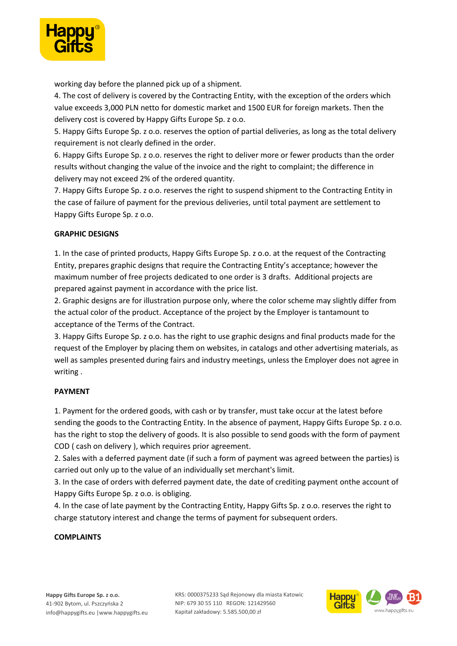

working day before the planned pick up of a shipment.

4. The cost of delivery is covered by the Contracting Entity, with the exception of the orders which value exceeds 3,000 PLN netto for domestic market and 1500 EUR for foreign markets. Then the delivery cost is covered by Happy Gifts Europe Sp. z o.o.

5. Happy Gifts Europe Sp. z o.o. reserves the option of partial deliveries, as long as the total delivery requirement is not clearly defined in the order.

6. Happy Gifts Europe Sp. z o.o. reserves the right to deliver more or fewer products than the order results without changing the value of the invoice and the right to complaint; the difference in delivery may not exceed 2% of the ordered quantity.

7. Happy Gifts Europe Sp. z o.o. reserves the right to suspend shipment to the Contracting Entity in the case of failure of payment for the previous deliveries, until total payment are settlement to Happy Gifts Europe Sp. z o.o.

# **GRAPHIC DESIGNS**

1. In the case of printed products, Happy Gifts Europe Sp. z o.o. at the request of the Contracting Entity, prepares graphic designs that require the Contracting Entity's acceptance; however the maximum number of free projects dedicated to one order is 3 drafts. Additional projects are prepared against payment in accordance with the price list.

2. Graphic designs are for illustration purpose only, where the color scheme may slightly differ from the actual color of the product. Acceptance of the project by the Employer is tantamount to acceptance of the Terms of the Contract.

3. Happy Gifts Europe Sp. z o.o. has the right to use graphic designs and final products made for the request of the Employer by placing them on websites, in catalogs and other advertising materials, as well as samples presented during fairs and industry meetings, unless the Employer does not agree in writing .

### **PAYMENT**

1. Payment for the ordered goods, with cash or by transfer, must take occur at the latest before sending the goods to the Contracting Entity. In the absence of payment, Happy Gifts Europe Sp. z o.o. has the right to stop the delivery of goods. It is also possible to send goods with the form of payment COD ( cash on delivery ), which requires prior agreement.

2. Sales with a deferred payment date (if such a form of payment was agreed between the parties) is carried out only up to the value of an individually set merchant's limit.

3. In the case of orders with deferred payment date, the date of crediting payment onthe account of Happy Gifts Europe Sp. z o.o. is obliging.

4. In the case of late payment by the Contracting Entity, Happy Gifts Sp. z o.o. reserves the right to charge statutory interest and change the terms of payment for subsequent orders.

### **COMPLAINTS**

KRS: 0000375233 Sąd Rejonowy dla miasta Katowic NIP: 679 30 55 110 REGON: 121429560 Kapitał zakładowy: 5.585.500,00 zł